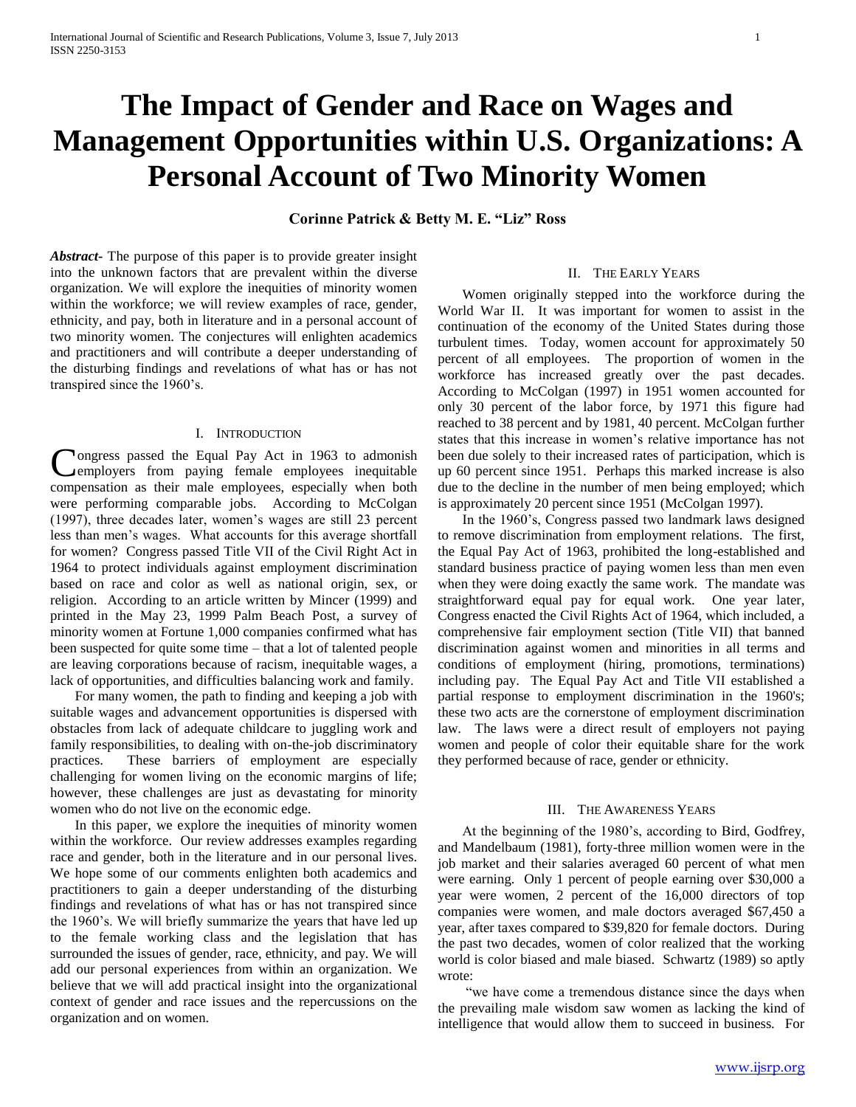# **The Impact of Gender and Race on Wages and Management Opportunities within U.S. Organizations: A Personal Account of Two Minority Women**

**Corinne Patrick & Betty M. E. "Liz" Ross**

*Abstract***-** The purpose of this paper is to provide greater insight into the unknown factors that are prevalent within the diverse organization. We will explore the inequities of minority women within the workforce; we will review examples of race, gender, ethnicity, and pay, both in literature and in a personal account of two minority women. The conjectures will enlighten academics and practitioners and will contribute a deeper understanding of the disturbing findings and revelations of what has or has not transpired since the 1960"s.

#### I. INTRODUCTION

**Tongress passed the Equal Pay Act in 1963 to admonish** Congress passed the Equal Pay Act in 1963 to admonish<br>
cemployers from paying female employees inequitable compensation as their male employees, especially when both were performing comparable jobs. According to McColgan (1997), three decades later, women"s wages are still 23 percent less than men"s wages. What accounts for this average shortfall for women? Congress passed Title VII of the Civil Right Act in 1964 to protect individuals against employment discrimination based on race and color as well as national origin, sex, or religion. According to an article written by Mincer (1999) and printed in the May 23, 1999 Palm Beach Post, a survey of minority women at Fortune 1,000 companies confirmed what has been suspected for quite some time – that a lot of talented people are leaving corporations because of racism, inequitable wages, a lack of opportunities, and difficulties balancing work and family.

 For many women, the path to finding and keeping a job with suitable wages and advancement opportunities is dispersed with obstacles from lack of adequate childcare to juggling work and family responsibilities, to dealing with on-the-job discriminatory practices. These barriers of employment are especially challenging for women living on the economic margins of life; however, these challenges are just as devastating for minority women who do not live on the economic edge.

 In this paper, we explore the inequities of minority women within the workforce. Our review addresses examples regarding race and gender, both in the literature and in our personal lives. We hope some of our comments enlighten both academics and practitioners to gain a deeper understanding of the disturbing findings and revelations of what has or has not transpired since the 1960's. We will briefly summarize the years that have led up to the female working class and the legislation that has surrounded the issues of gender, race, ethnicity, and pay. We will add our personal experiences from within an organization. We believe that we will add practical insight into the organizational context of gender and race issues and the repercussions on the organization and on women.

#### II. THE EARLY YEARS

 Women originally stepped into the workforce during the World War II. It was important for women to assist in the continuation of the economy of the United States during those turbulent times. Today, women account for approximately 50 percent of all employees. The proportion of women in the workforce has increased greatly over the past decades. According to McColgan (1997) in 1951 women accounted for only 30 percent of the labor force, by 1971 this figure had reached to 38 percent and by 1981, 40 percent. McColgan further states that this increase in women"s relative importance has not been due solely to their increased rates of participation, which is up 60 percent since 1951. Perhaps this marked increase is also due to the decline in the number of men being employed; which is approximately 20 percent since 1951 (McColgan 1997).

 In the 1960"s, Congress passed two landmark laws designed to remove discrimination from employment relations. The first, the Equal Pay Act of 1963, prohibited the long-established and standard business practice of paying women less than men even when they were doing exactly the same work. The mandate was straightforward equal pay for equal work. One year later, Congress enacted the Civil Rights Act of 1964, which included, a comprehensive fair employment section (Title VII) that banned discrimination against women and minorities in all terms and conditions of employment (hiring, promotions, terminations) including pay. The Equal Pay Act and Title VII established a partial response to employment discrimination in the 1960's; these two acts are the cornerstone of employment discrimination law. The laws were a direct result of employers not paying women and people of color their equitable share for the work they performed because of race, gender or ethnicity.

# III. THE AWARENESS YEARS

 At the beginning of the 1980"s, according to Bird, Godfrey, and Mandelbaum (1981), forty-three million women were in the job market and their salaries averaged 60 percent of what men were earning. Only 1 percent of people earning over \$30,000 a year were women, 2 percent of the 16,000 directors of top companies were women, and male doctors averaged \$67,450 a year, after taxes compared to \$39,820 for female doctors. During the past two decades, women of color realized that the working world is color biased and male biased. Schwartz (1989) so aptly wrote:

 "we have come a tremendous distance since the days when the prevailing male wisdom saw women as lacking the kind of intelligence that would allow them to succeed in business. For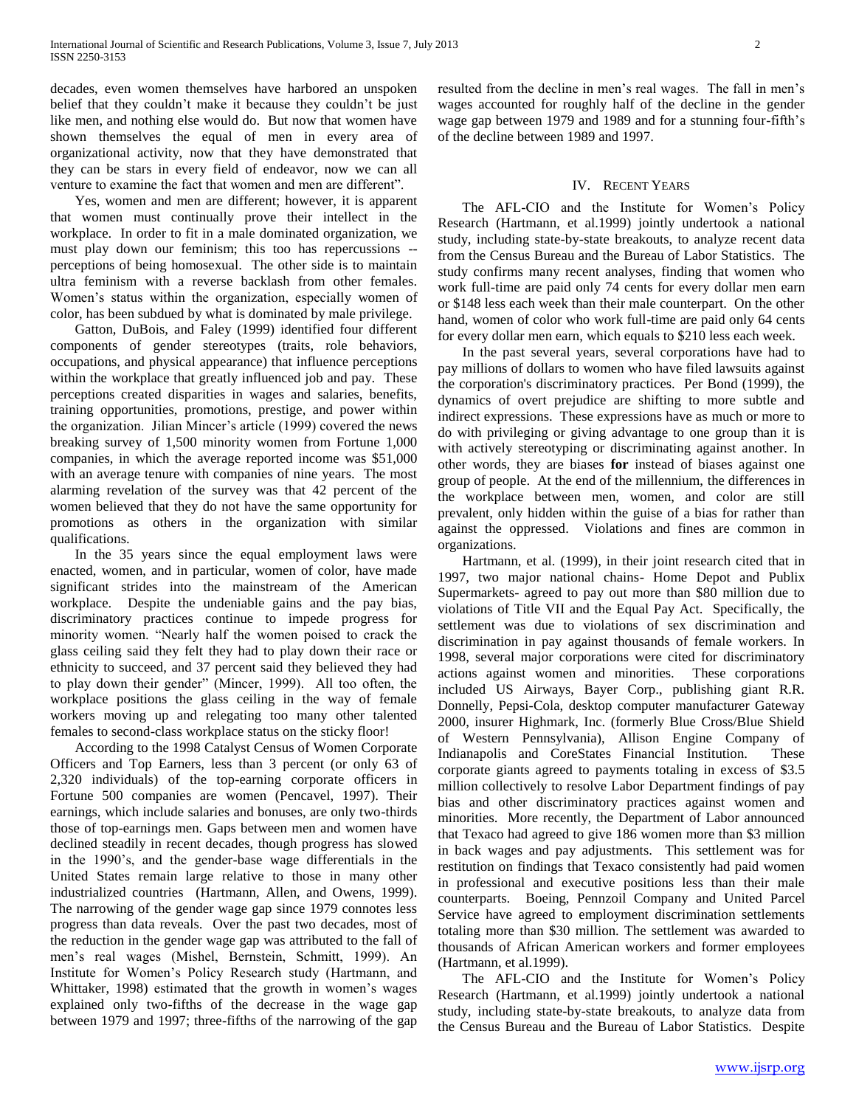decades, even women themselves have harbored an unspoken belief that they couldn't make it because they couldn't be just like men, and nothing else would do. But now that women have shown themselves the equal of men in every area of organizational activity, now that they have demonstrated that they can be stars in every field of endeavor, now we can all venture to examine the fact that women and men are different".

 Yes, women and men are different; however, it is apparent that women must continually prove their intellect in the workplace. In order to fit in a male dominated organization, we must play down our feminism; this too has repercussions - perceptions of being homosexual. The other side is to maintain ultra feminism with a reverse backlash from other females. Women"s status within the organization, especially women of color, has been subdued by what is dominated by male privilege.

 Gatton, DuBois, and Faley (1999) identified four different components of gender stereotypes (traits, role behaviors, occupations, and physical appearance) that influence perceptions within the workplace that greatly influenced job and pay. These perceptions created disparities in wages and salaries, benefits, training opportunities, promotions, prestige, and power within the organization. Jilian Mincer's article (1999) covered the news breaking survey of 1,500 minority women from Fortune 1,000 companies, in which the average reported income was \$51,000 with an average tenure with companies of nine years. The most alarming revelation of the survey was that 42 percent of the women believed that they do not have the same opportunity for promotions as others in the organization with similar qualifications.

 In the 35 years since the equal employment laws were enacted, women, and in particular, women of color, have made significant strides into the mainstream of the American workplace. Despite the undeniable gains and the pay bias, discriminatory practices continue to impede progress for minority women. "Nearly half the women poised to crack the glass ceiling said they felt they had to play down their race or ethnicity to succeed, and 37 percent said they believed they had to play down their gender" (Mincer, 1999). All too often, the workplace positions the glass ceiling in the way of female workers moving up and relegating too many other talented females to second-class workplace status on the sticky floor!

 According to the 1998 Catalyst Census of Women Corporate Officers and Top Earners, less than 3 percent (or only 63 of 2,320 individuals) of the top-earning corporate officers in Fortune 500 companies are women (Pencavel, 1997). Their earnings, which include salaries and bonuses, are only two-thirds those of top-earnings men. Gaps between men and women have declined steadily in recent decades, though progress has slowed in the 1990"s, and the gender-base wage differentials in the United States remain large relative to those in many other industrialized countries (Hartmann, Allen, and Owens, 1999). The narrowing of the gender wage gap since 1979 connotes less progress than data reveals. Over the past two decades, most of the reduction in the gender wage gap was attributed to the fall of men"s real wages (Mishel, Bernstein, Schmitt, 1999). An Institute for Women"s Policy Research study (Hartmann, and Whittaker, 1998) estimated that the growth in women's wages explained only two-fifths of the decrease in the wage gap between 1979 and 1997; three-fifths of the narrowing of the gap

resulted from the decline in men's real wages. The fall in men's wages accounted for roughly half of the decline in the gender wage gap between 1979 and 1989 and for a stunning four-fifth's of the decline between 1989 and 1997.

## IV. RECENT YEARS

The AFL-CIO and the Institute for Women's Policy Research (Hartmann, et al.1999) jointly undertook a national study, including state-by-state breakouts, to analyze recent data from the Census Bureau and the Bureau of Labor Statistics. The study confirms many recent analyses, finding that women who work full-time are paid only 74 cents for every dollar men earn or \$148 less each week than their male counterpart. On the other hand, women of color who work full-time are paid only 64 cents for every dollar men earn, which equals to \$210 less each week.

 In the past several years, several corporations have had to pay millions of dollars to women who have filed lawsuits against the corporation's discriminatory practices. Per Bond (1999), the dynamics of overt prejudice are shifting to more subtle and indirect expressions. These expressions have as much or more to do with privileging or giving advantage to one group than it is with actively stereotyping or discriminating against another. In other words, they are biases **for** instead of biases against one group of people. At the end of the millennium, the differences in the workplace between men, women, and color are still prevalent, only hidden within the guise of a bias for rather than against the oppressed. Violations and fines are common in organizations.

 Hartmann, et al. (1999), in their joint research cited that in 1997, two major national chains- Home Depot and Publix Supermarkets- agreed to pay out more than \$80 million due to violations of Title VII and the Equal Pay Act. Specifically, the settlement was due to violations of sex discrimination and discrimination in pay against thousands of female workers. In 1998, several major corporations were cited for discriminatory actions against women and minorities. These corporations included US Airways, Bayer Corp., publishing giant R.R. Donnelly, Pepsi-Cola, desktop computer manufacturer Gateway 2000, insurer Highmark, Inc. (formerly Blue Cross/Blue Shield of Western Pennsylvania), Allison Engine Company of Indianapolis and CoreStates Financial Institution. These corporate giants agreed to payments totaling in excess of \$3.5 million collectively to resolve Labor Department findings of pay bias and other discriminatory practices against women and minorities. More recently, the Department of Labor announced that Texaco had agreed to give 186 women more than \$3 million in back wages and pay adjustments. This settlement was for restitution on findings that Texaco consistently had paid women in professional and executive positions less than their male counterparts. Boeing, Pennzoil Company and United Parcel Service have agreed to employment discrimination settlements totaling more than \$30 million. The settlement was awarded to thousands of African American workers and former employees (Hartmann, et al.1999).

 The AFL-CIO and the Institute for Women"s Policy Research (Hartmann, et al.1999) jointly undertook a national study, including state-by-state breakouts, to analyze data from the Census Bureau and the Bureau of Labor Statistics. Despite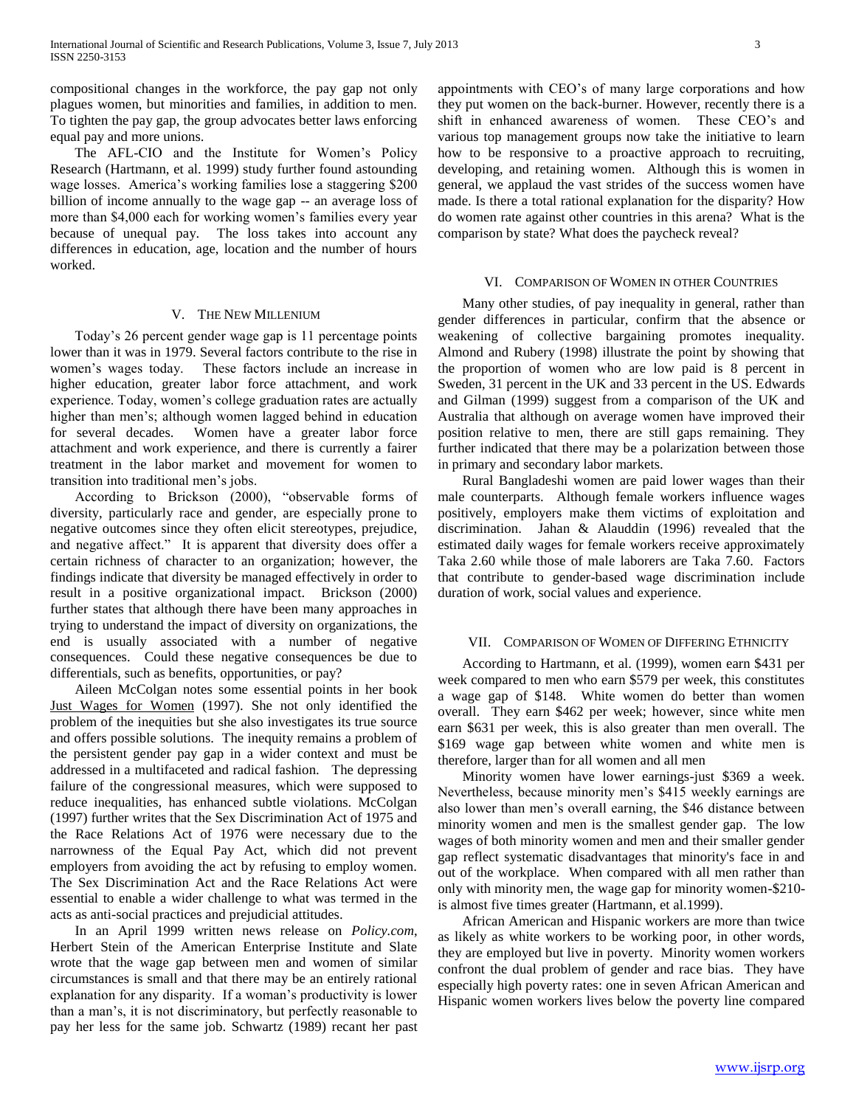compositional changes in the workforce, the pay gap not only plagues women, but minorities and families, in addition to men. To tighten the pay gap, the group advocates better laws enforcing equal pay and more unions.

 The AFL-CIO and the Institute for Women"s Policy Research (Hartmann, et al. 1999) study further found astounding wage losses. America's working families lose a staggering \$200 billion of income annually to the wage gap -- an average loss of more than \$4,000 each for working women's families every year because of unequal pay. The loss takes into account any differences in education, age, location and the number of hours worked.

#### V. THE NEW MILLENIUM

 Today"s 26 percent gender wage gap is 11 percentage points lower than it was in 1979. Several factors contribute to the rise in women"s wages today. These factors include an increase in higher education, greater labor force attachment, and work experience. Today, women's college graduation rates are actually higher than men's; although women lagged behind in education for several decades. Women have a greater labor force attachment and work experience, and there is currently a fairer treatment in the labor market and movement for women to transition into traditional men"s jobs.

 According to Brickson (2000), "observable forms of diversity, particularly race and gender, are especially prone to negative outcomes since they often elicit stereotypes, prejudice, and negative affect." It is apparent that diversity does offer a certain richness of character to an organization; however, the findings indicate that diversity be managed effectively in order to result in a positive organizational impact. Brickson (2000) further states that although there have been many approaches in trying to understand the impact of diversity on organizations, the end is usually associated with a number of negative consequences. Could these negative consequences be due to differentials, such as benefits, opportunities, or pay?

 Aileen McColgan notes some essential points in her book Just Wages for Women (1997). She not only identified the problem of the inequities but she also investigates its true source and offers possible solutions. The inequity remains a problem of the persistent gender pay gap in a wider context and must be addressed in a multifaceted and radical fashion. The depressing failure of the congressional measures, which were supposed to reduce inequalities, has enhanced subtle violations. McColgan (1997) further writes that the Sex Discrimination Act of 1975 and the Race Relations Act of 1976 were necessary due to the narrowness of the Equal Pay Act, which did not prevent employers from avoiding the act by refusing to employ women. The Sex Discrimination Act and the Race Relations Act were essential to enable a wider challenge to what was termed in the acts as anti-social practices and prejudicial attitudes.

 In an April 1999 written news release on *Policy.com*, Herbert Stein of the American Enterprise Institute and Slate wrote that the wage gap between men and women of similar circumstances is small and that there may be an entirely rational explanation for any disparity. If a woman's productivity is lower than a man"s, it is not discriminatory, but perfectly reasonable to pay her less for the same job. Schwartz (1989) recant her past appointments with CEO"s of many large corporations and how they put women on the back-burner. However, recently there is a shift in enhanced awareness of women. These CEO's and various top management groups now take the initiative to learn how to be responsive to a proactive approach to recruiting, developing, and retaining women. Although this is women in general, we applaud the vast strides of the success women have made. Is there a total rational explanation for the disparity? How do women rate against other countries in this arena? What is the comparison by state? What does the paycheck reveal?

#### VI. COMPARISON OF WOMEN IN OTHER COUNTRIES

 Many other studies, of pay inequality in general, rather than gender differences in particular, confirm that the absence or weakening of collective bargaining promotes inequality. Almond and Rubery (1998) illustrate the point by showing that the proportion of women who are low paid is 8 percent in Sweden, 31 percent in the UK and 33 percent in the US. Edwards and Gilman (1999) suggest from a comparison of the UK and Australia that although on average women have improved their position relative to men, there are still gaps remaining. They further indicated that there may be a polarization between those in primary and secondary labor markets.

 Rural Bangladeshi women are paid lower wages than their male counterparts. Although female workers influence wages positively, employers make them victims of exploitation and discrimination. Jahan & Alauddin (1996) revealed that the estimated daily wages for female workers receive approximately Taka 2.60 while those of male laborers are Taka 7.60. Factors that contribute to gender-based wage discrimination include duration of work, social values and experience.

#### VII. COMPARISON OF WOMEN OF DIFFERING ETHNICITY

 According to Hartmann, et al. (1999), women earn \$431 per week compared to men who earn \$579 per week, this constitutes a wage gap of \$148. White women do better than women overall. They earn \$462 per week; however, since white men earn \$631 per week, this is also greater than men overall. The \$169 wage gap between white women and white men is therefore, larger than for all women and all men

 Minority women have lower earnings-just \$369 a week. Nevertheless, because minority men"s \$415 weekly earnings are also lower than men"s overall earning, the \$46 distance between minority women and men is the smallest gender gap. The low wages of both minority women and men and their smaller gender gap reflect systematic disadvantages that minority's face in and out of the workplace. When compared with all men rather than only with minority men, the wage gap for minority women-\$210 is almost five times greater (Hartmann, et al.1999).

 African American and Hispanic workers are more than twice as likely as white workers to be working poor, in other words, they are employed but live in poverty. Minority women workers confront the dual problem of gender and race bias. They have especially high poverty rates: one in seven African American and Hispanic women workers lives below the poverty line compared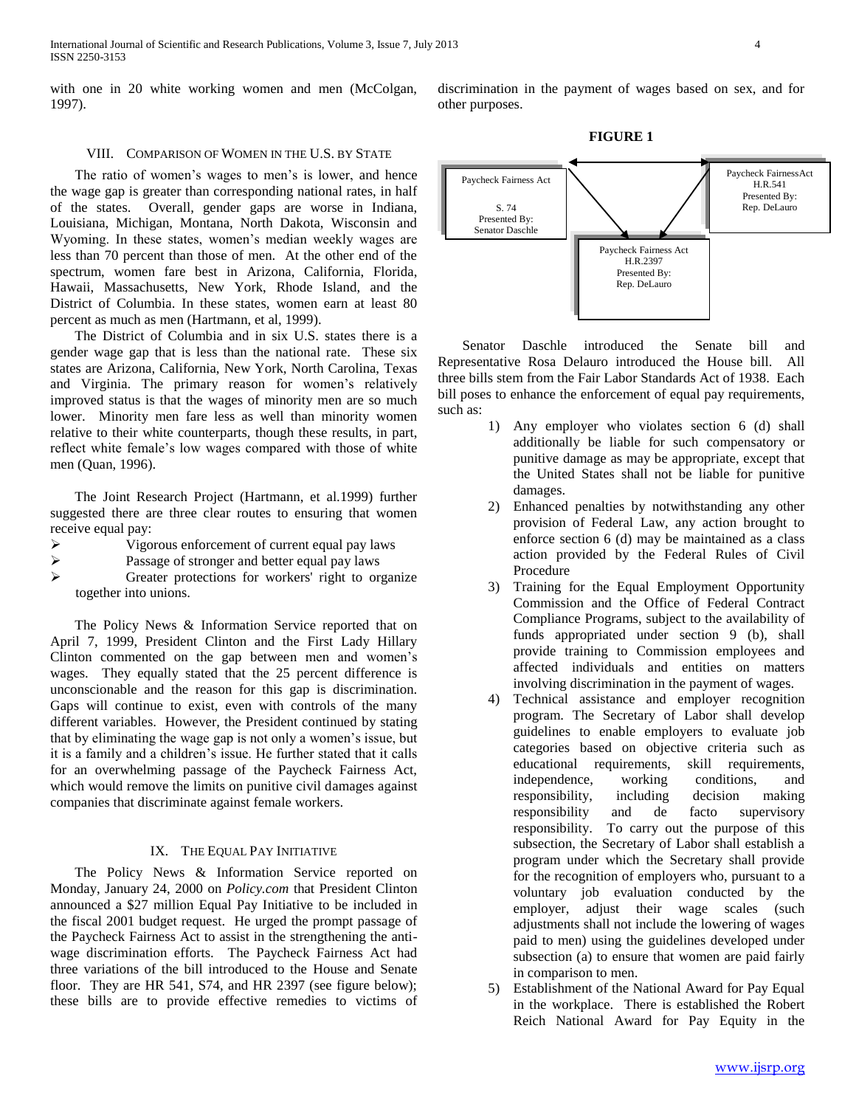International Journal of Scientific and Research Publications, Volume 3, Issue 7, July 2013 4 ISSN 2250-3153

with one in 20 white working women and men (McColgan, 1997).

# VIII. COMPARISON OF WOMEN IN THE U.S. BY STATE

The ratio of women's wages to men's is lower, and hence the wage gap is greater than corresponding national rates, in half of the states. Overall, gender gaps are worse in Indiana, Louisiana, Michigan, Montana, North Dakota, Wisconsin and Wyoming. In these states, women"s median weekly wages are less than 70 percent than those of men. At the other end of the spectrum, women fare best in Arizona, California, Florida, Hawaii, Massachusetts, New York, Rhode Island, and the District of Columbia. In these states, women earn at least 80 percent as much as men (Hartmann, et al, 1999).

 The District of Columbia and in six U.S. states there is a gender wage gap that is less than the national rate. These six states are Arizona, California, New York, North Carolina, Texas and Virginia. The primary reason for women's relatively improved status is that the wages of minority men are so much lower. Minority men fare less as well than minority women relative to their white counterparts, though these results, in part, reflect white female"s low wages compared with those of white men (Quan, 1996).

 The Joint Research Project (Hartmann, et al.1999) further suggested there are three clear routes to ensuring that women receive equal pay:

- Vigorous enforcement of current equal pay laws
- Passage of stronger and better equal pay laws
- Greater protections for workers' right to organize together into unions.

 The Policy News & Information Service reported that on April 7, 1999, President Clinton and the First Lady Hillary Clinton commented on the gap between men and women"s wages. They equally stated that the 25 percent difference is unconscionable and the reason for this gap is discrimination. Gaps will continue to exist, even with controls of the many different variables. However, the President continued by stating that by eliminating the wage gap is not only a women"s issue, but it is a family and a children"s issue. He further stated that it calls for an overwhelming passage of the Paycheck Fairness Act, which would remove the limits on punitive civil damages against companies that discriminate against female workers.

## IX. THE EQUAL PAY INITIATIVE

 The Policy News & Information Service reported on Monday, January 24, 2000 on *Policy.com* that President Clinton announced a \$27 million Equal Pay Initiative to be included in the fiscal 2001 budget request. He urged the prompt passage of the Paycheck Fairness Act to assist in the strengthening the antiwage discrimination efforts. The Paycheck Fairness Act had three variations of the bill introduced to the House and Senate floor. They are HR 541, S74, and HR 2397 (see figure below); these bills are to provide effective remedies to victims of discrimination in the payment of wages based on sex, and for other purposes.

**FIGURE 1**



 Senator Daschle introduced the Senate bill and Representative Rosa Delauro introduced the House bill. All three bills stem from the Fair Labor Standards Act of 1938. Each bill poses to enhance the enforcement of equal pay requirements, such as:

- 1) Any employer who violates section 6 (d) shall additionally be liable for such compensatory or punitive damage as may be appropriate, except that the United States shall not be liable for punitive damages.
- 2) Enhanced penalties by notwithstanding any other provision of Federal Law, any action brought to enforce section 6 (d) may be maintained as a class action provided by the Federal Rules of Civil Procedure
- 3) Training for the Equal Employment Opportunity Commission and the Office of Federal Contract Compliance Programs, subject to the availability of funds appropriated under section 9 (b), shall provide training to Commission employees and affected individuals and entities on matters involving discrimination in the payment of wages.
- 4) Technical assistance and employer recognition program. The Secretary of Labor shall develop guidelines to enable employers to evaluate job categories based on objective criteria such as educational requirements, skill requirements, independence, working conditions, and responsibility, including decision making responsibility and de facto supervisory responsibility. To carry out the purpose of this subsection, the Secretary of Labor shall establish a program under which the Secretary shall provide for the recognition of employers who, pursuant to a voluntary job evaluation conducted by the employer, adjust their wage scales (such adjustments shall not include the lowering of wages paid to men) using the guidelines developed under subsection (a) to ensure that women are paid fairly in comparison to men.
- 5) Establishment of the National Award for Pay Equal in the workplace. There is established the Robert Reich National Award for Pay Equity in the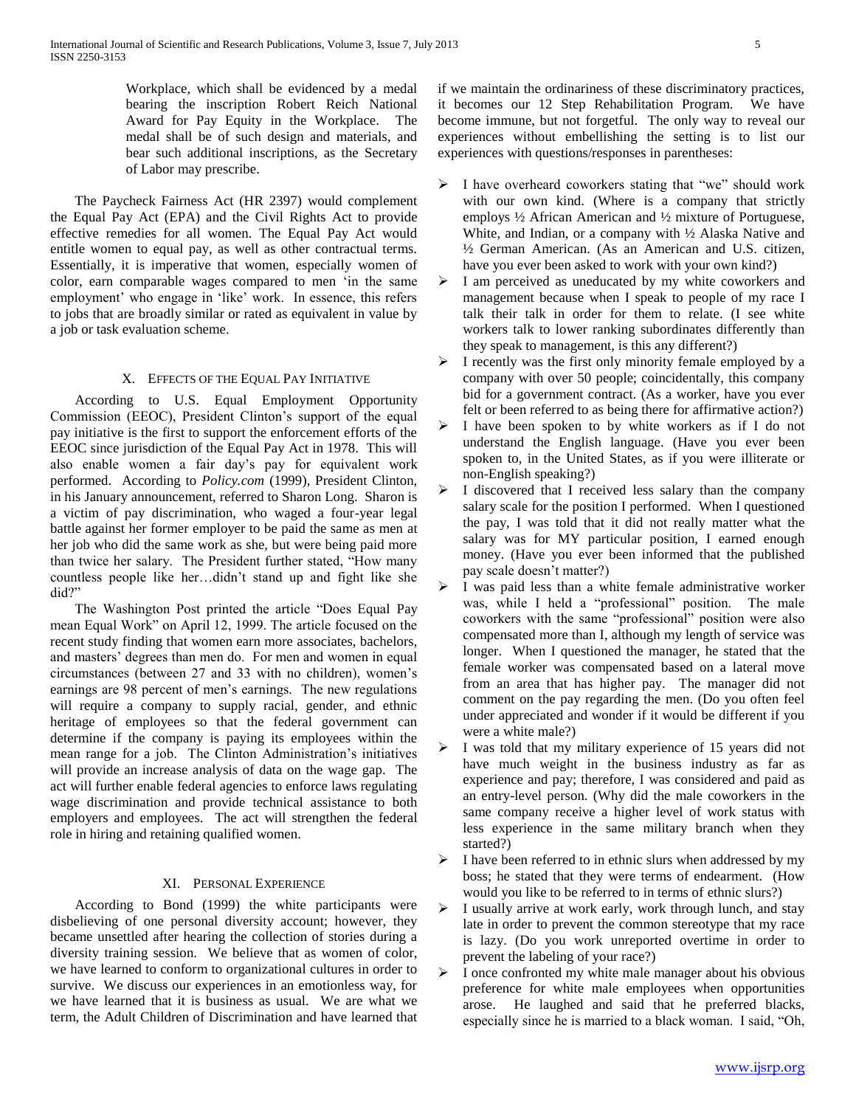Workplace, which shall be evidenced by a medal bearing the inscription Robert Reich National Award for Pay Equity in the Workplace. The medal shall be of such design and materials, and bear such additional inscriptions, as the Secretary of Labor may prescribe.

 The Paycheck Fairness Act (HR 2397) would complement the Equal Pay Act (EPA) and the Civil Rights Act to provide effective remedies for all women. The Equal Pay Act would entitle women to equal pay, as well as other contractual terms. Essentially, it is imperative that women, especially women of color, earn comparable wages compared to men "in the same employment' who engage in 'like' work. In essence, this refers to jobs that are broadly similar or rated as equivalent in value by a job or task evaluation scheme.

## X. EFFECTS OF THE EQUAL PAY INITIATIVE

 According to U.S. Equal Employment Opportunity Commission (EEOC), President Clinton"s support of the equal pay initiative is the first to support the enforcement efforts of the EEOC since jurisdiction of the Equal Pay Act in 1978. This will also enable women a fair day"s pay for equivalent work performed. According to *Policy.com* (1999), President Clinton, in his January announcement, referred to Sharon Long. Sharon is a victim of pay discrimination, who waged a four-year legal battle against her former employer to be paid the same as men at her job who did the same work as she, but were being paid more than twice her salary. The President further stated, "How many countless people like her…didn"t stand up and fight like she did?"

 The Washington Post printed the article "Does Equal Pay mean Equal Work" on April 12, 1999. The article focused on the recent study finding that women earn more associates, bachelors, and masters" degrees than men do. For men and women in equal circumstances (between 27 and 33 with no children), women"s earnings are 98 percent of men"s earnings. The new regulations will require a company to supply racial, gender, and ethnic heritage of employees so that the federal government can determine if the company is paying its employees within the mean range for a job. The Clinton Administration"s initiatives will provide an increase analysis of data on the wage gap. The act will further enable federal agencies to enforce laws regulating wage discrimination and provide technical assistance to both employers and employees. The act will strengthen the federal role in hiring and retaining qualified women.

# XI. PERSONAL EXPERIENCE

 According to Bond (1999) the white participants were disbelieving of one personal diversity account; however, they became unsettled after hearing the collection of stories during a diversity training session. We believe that as women of color, we have learned to conform to organizational cultures in order to survive. We discuss our experiences in an emotionless way, for we have learned that it is business as usual. We are what we term, the Adult Children of Discrimination and have learned that if we maintain the ordinariness of these discriminatory practices, it becomes our 12 Step Rehabilitation Program. We have become immune, but not forgetful. The only way to reveal our experiences without embellishing the setting is to list our experiences with questions/responses in parentheses:

- > I have overheard coworkers stating that "we" should work with our own kind. (Where is a company that strictly employs ½ African American and ½ mixture of Portuguese, White, and Indian, or a company with ½ Alaska Native and ½ German American. (As an American and U.S. citizen, have you ever been asked to work with your own kind?)
- $\triangleright$  I am perceived as uneducated by my white coworkers and management because when I speak to people of my race I talk their talk in order for them to relate. (I see white workers talk to lower ranking subordinates differently than they speak to management, is this any different?)
- $\triangleright$  I recently was the first only minority female employed by a company with over 50 people; coincidentally, this company bid for a government contract. (As a worker, have you ever felt or been referred to as being there for affirmative action?)
- I have been spoken to by white workers as if I do not understand the English language. (Have you ever been spoken to, in the United States, as if you were illiterate or non-English speaking?)
- $\triangleright$  I discovered that I received less salary than the company salary scale for the position I performed. When I questioned the pay, I was told that it did not really matter what the salary was for MY particular position, I earned enough money. (Have you ever been informed that the published pay scale doesn"t matter?)
- I was paid less than a white female administrative worker was, while I held a "professional" position. The male coworkers with the same "professional" position were also compensated more than I, although my length of service was longer. When I questioned the manager, he stated that the female worker was compensated based on a lateral move from an area that has higher pay. The manager did not comment on the pay regarding the men. (Do you often feel under appreciated and wonder if it would be different if you were a white male?)
- I was told that my military experience of 15 years did not have much weight in the business industry as far as experience and pay; therefore, I was considered and paid as an entry-level person. (Why did the male coworkers in the same company receive a higher level of work status with less experience in the same military branch when they started?)
- $\triangleright$  I have been referred to in ethnic slurs when addressed by my boss; he stated that they were terms of endearment. (How would you like to be referred to in terms of ethnic slurs?)
- I usually arrive at work early, work through lunch, and stay late in order to prevent the common stereotype that my race is lazy. (Do you work unreported overtime in order to prevent the labeling of your race?)
- I once confronted my white male manager about his obvious preference for white male employees when opportunities arose. He laughed and said that he preferred blacks, especially since he is married to a black woman. I said, "Oh,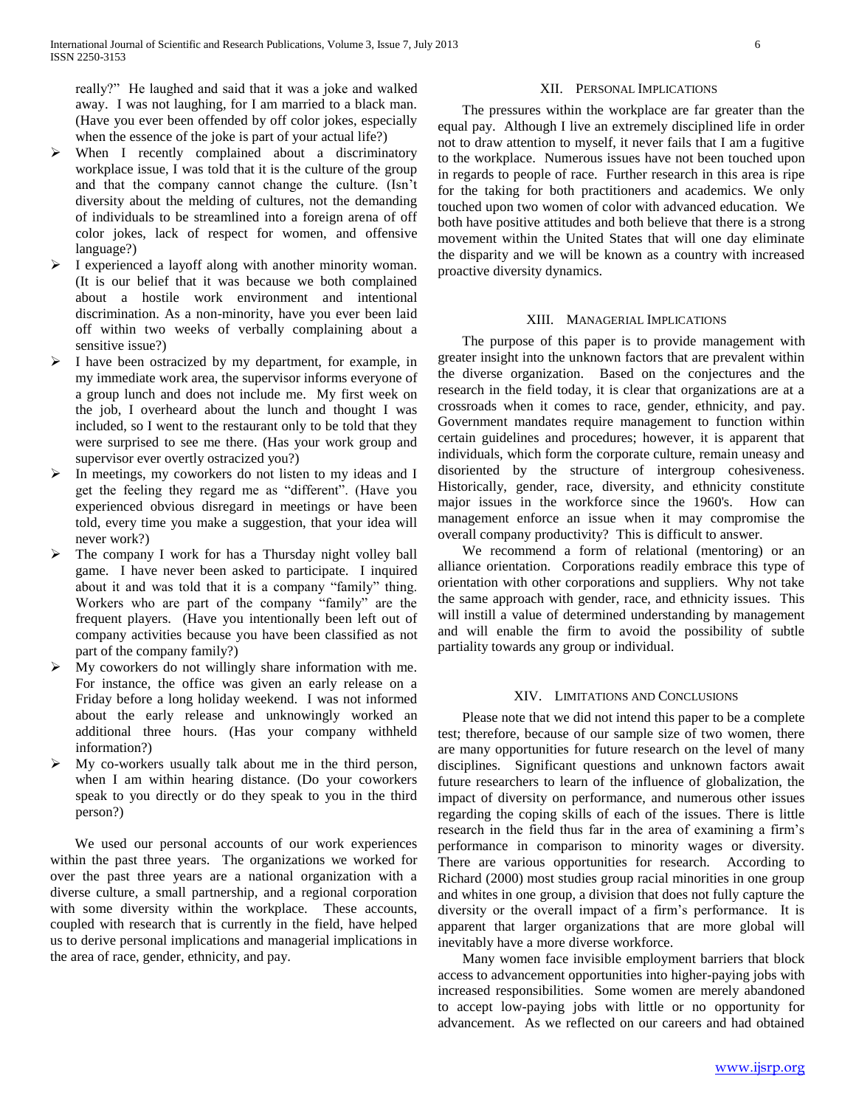really?" He laughed and said that it was a joke and walked away. I was not laughing, for I am married to a black man. (Have you ever been offended by off color jokes, especially when the essence of the joke is part of your actual life?)

- When I recently complained about a discriminatory workplace issue, I was told that it is the culture of the group and that the company cannot change the culture. (Isn"t diversity about the melding of cultures, not the demanding of individuals to be streamlined into a foreign arena of off color jokes, lack of respect for women, and offensive language?)
- I experienced a layoff along with another minority woman. (It is our belief that it was because we both complained about a hostile work environment and intentional discrimination. As a non-minority, have you ever been laid off within two weeks of verbally complaining about a sensitive issue?)
- $\triangleright$  I have been ostracized by my department, for example, in my immediate work area, the supervisor informs everyone of a group lunch and does not include me. My first week on the job, I overheard about the lunch and thought I was included, so I went to the restaurant only to be told that they were surprised to see me there. (Has your work group and supervisor ever overtly ostracized you?)
- In meetings, my coworkers do not listen to my ideas and I get the feeling they regard me as "different". (Have you experienced obvious disregard in meetings or have been told, every time you make a suggestion, that your idea will never work?)
- > The company I work for has a Thursday night volley ball game. I have never been asked to participate. I inquired about it and was told that it is a company "family" thing. Workers who are part of the company "family" are the frequent players. (Have you intentionally been left out of company activities because you have been classified as not part of the company family?)
- $\triangleright$  My coworkers do not willingly share information with me. For instance, the office was given an early release on a Friday before a long holiday weekend. I was not informed about the early release and unknowingly worked an additional three hours. (Has your company withheld information?)
- My co-workers usually talk about me in the third person, when I am within hearing distance. (Do your coworkers speak to you directly or do they speak to you in the third person?)

 We used our personal accounts of our work experiences within the past three years. The organizations we worked for over the past three years are a national organization with a diverse culture, a small partnership, and a regional corporation with some diversity within the workplace. These accounts, coupled with research that is currently in the field, have helped us to derive personal implications and managerial implications in the area of race, gender, ethnicity, and pay.

# XII. PERSONAL IMPLICATIONS

 The pressures within the workplace are far greater than the equal pay. Although I live an extremely disciplined life in order not to draw attention to myself, it never fails that I am a fugitive to the workplace. Numerous issues have not been touched upon in regards to people of race. Further research in this area is ripe for the taking for both practitioners and academics. We only touched upon two women of color with advanced education. We both have positive attitudes and both believe that there is a strong movement within the United States that will one day eliminate the disparity and we will be known as a country with increased proactive diversity dynamics.

#### XIII. MANAGERIAL IMPLICATIONS

 The purpose of this paper is to provide management with greater insight into the unknown factors that are prevalent within the diverse organization. Based on the conjectures and the research in the field today, it is clear that organizations are at a crossroads when it comes to race, gender, ethnicity, and pay. Government mandates require management to function within certain guidelines and procedures; however, it is apparent that individuals, which form the corporate culture, remain uneasy and disoriented by the structure of intergroup cohesiveness. Historically, gender, race, diversity, and ethnicity constitute major issues in the workforce since the 1960's. How can management enforce an issue when it may compromise the overall company productivity? This is difficult to answer.

 We recommend a form of relational (mentoring) or an alliance orientation. Corporations readily embrace this type of orientation with other corporations and suppliers. Why not take the same approach with gender, race, and ethnicity issues. This will instill a value of determined understanding by management and will enable the firm to avoid the possibility of subtle partiality towards any group or individual.

#### XIV. LIMITATIONS AND CONCLUSIONS

 Please note that we did not intend this paper to be a complete test; therefore, because of our sample size of two women, there are many opportunities for future research on the level of many disciplines. Significant questions and unknown factors await future researchers to learn of the influence of globalization, the impact of diversity on performance, and numerous other issues regarding the coping skills of each of the issues. There is little research in the field thus far in the area of examining a firm"s performance in comparison to minority wages or diversity. There are various opportunities for research. According to Richard (2000) most studies group racial minorities in one group and whites in one group, a division that does not fully capture the diversity or the overall impact of a firm"s performance. It is apparent that larger organizations that are more global will inevitably have a more diverse workforce.

 Many women face invisible employment barriers that block access to advancement opportunities into higher-paying jobs with increased responsibilities. Some women are merely abandoned to accept low-paying jobs with little or no opportunity for advancement. As we reflected on our careers and had obtained